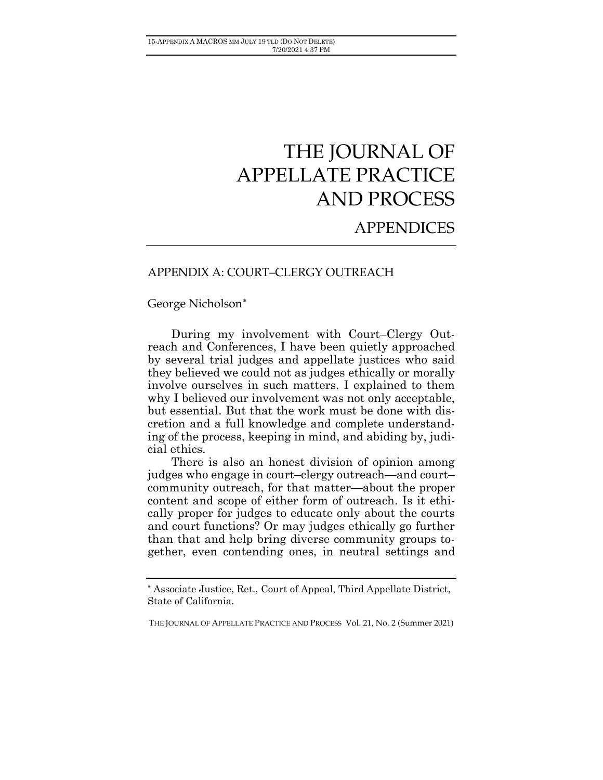# THE JOURNAL OF APPELLATE PRACTICE AND PROCESS

# **APPENDICES**

# APPENDIX A: COURT–CLERGY OUTREACH

George Nicholson[∗](#page-0-0)

During my involvement with Court–Clergy Outreach and Conferences, I have been quietly approached by several trial judges and appellate justices who said they believed we could not as judges ethically or morally involve ourselves in such matters. I explained to them why I believed our involvement was not only acceptable, but essential. But that the work must be done with discretion and a full knowledge and complete understanding of the process, keeping in mind, and abiding by, judicial ethics.

There is also an honest division of opinion among judges who engage in court–clergy outreach—and court– community outreach, for that matter—about the proper content and scope of either form of outreach. Is it ethically proper for judges to educate only about the courts and court functions? Or may judges ethically go further than that and help bring diverse community groups together, even contending ones, in neutral settings and

<span id="page-0-0"></span><sup>∗</sup> Associate Justice, Ret., Court of Appeal, Third Appellate District, State of California.

THE JOURNAL OF APPELLATE PRACTICE AND PROCESS Vol. 21, No. 2 (Summer 2021)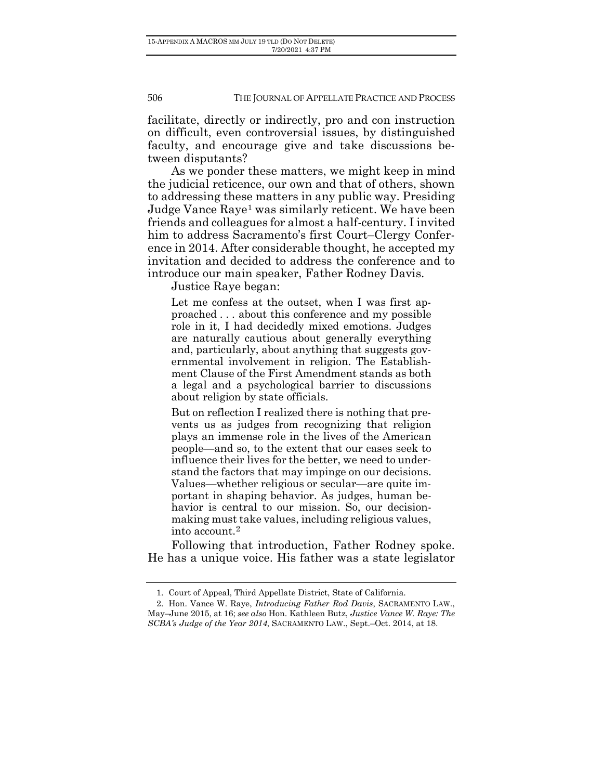facilitate, directly or indirectly, pro and con instruction on difficult, even controversial issues, by distinguished faculty, and encourage give and take discussions between disputants?

As we ponder these matters, we might keep in mind the judicial reticence, our own and that of others, shown to addressing these matters in any public way. Presiding Judge Vance Raye[1](#page-1-0) was similarly reticent. We have been friends and colleagues for almost a half-century. I invited him to address Sacramento's first Court–Clergy Conference in 2014. After considerable thought, he accepted my invitation and decided to address the conference and to introduce our main speaker, Father Rodney Davis.

Justice Raye began:

Let me confess at the outset, when I was first approached . . . about this conference and my possible role in it, I had decidedly mixed emotions. Judges are naturally cautious about generally everything and, particularly, about anything that suggests governmental involvement in religion. The Establishment Clause of the First Amendment stands as both a legal and a psychological barrier to discussions about religion by state officials.

But on reflection I realized there is nothing that prevents us as judges from recognizing that religion plays an immense role in the lives of the American people—and so, to the extent that our cases seek to influence their lives for the better, we need to understand the factors that may impinge on our decisions. Values—whether religious or secular—are quite important in shaping behavior. As judges, human behavior is central to our mission. So, our decisionmaking must take values, including religious values, into account.[2](#page-1-1)

Following that introduction, Father Rodney spoke. He has a unique voice. His father was a state legislator

<sup>1.</sup> Court of Appeal, Third Appellate District, State of California.

<span id="page-1-1"></span><span id="page-1-0"></span><sup>2.</sup> Hon. Vance W. Raye, *Introducing Father Rod Davis*, SACRAMENTO LAW., May–June 2015, at 16; *see also* Hon. Kathleen Butz, *Justice Vance W. Raye: The SCBA's Judge of the Year 2014*, SACRAMENTO LAW., Sept.–Oct. 2014, at 18.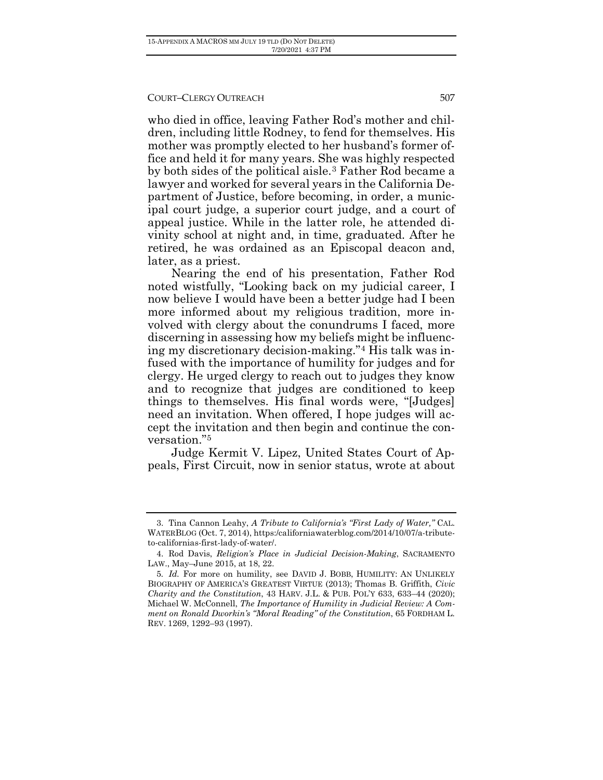who died in office, leaving Father Rod's mother and children, including little Rodney, to fend for themselves. His mother was promptly elected to her husband's former office and held it for many years. She was highly respected by both sides of the political aisle.[3](#page-2-0) Father Rod became a lawyer and worked for several years in the California Department of Justice, before becoming, in order, a municipal court judge, a superior court judge, and a court of appeal justice. While in the latter role, he attended divinity school at night and, in time, graduated. After he retired, he was ordained as an Episcopal deacon and, later, as a priest.

Nearing the end of his presentation, Father Rod noted wistfully, "Looking back on my judicial career, I now believe I would have been a better judge had I been more informed about my religious tradition, more involved with clergy about the conundrums I faced, more discerning in assessing how my beliefs might be influencing my discretionary decision-making."[4](#page-2-1) His talk was infused with the importance of humility for judges and for clergy. He urged clergy to reach out to judges they know and to recognize that judges are conditioned to keep things to themselves. His final words were, "[Judges] need an invitation. When offered, I hope judges will accept the invitation and then begin and continue the conversation."[5](#page-2-2)

Judge Kermit V. Lipez, United States Court of Appeals, First Circuit, now in senior status, wrote at about

<span id="page-2-1"></span><span id="page-2-0"></span><sup>3.</sup> Tina Cannon Leahy, *A Tribute to California's "First Lady of Water,"* CAL. WATERBLOG (Oct. 7, 2014)[, https:/californiawaterblog.com/2014/10/07/a-tribute](https://californiawaterblog.com/2014/10/07/a-tribute-to-californias-first-lady-of-water/)[to-californias-first-lady-of-water/.](https://californiawaterblog.com/2014/10/07/a-tribute-to-californias-first-lady-of-water/)

<span id="page-2-2"></span><sup>4.</sup> Rod Davis, *Religion's Place in Judicial Decision-Making*, SACRAMENTO LAW., May–June 2015, at 18, 22.

<span id="page-2-3"></span><sup>5</sup>*. Id.* For more on humility, see DAVID J. BOBB, HUMILITY: AN UNLIKELY BIOGRAPHY OF AMERICA'S GREATEST VIRTUE (2013); Thomas B. Griffith, *Civic Charity and the Constitution*, 43 HARV. J.L. & PUB. POL'Y 633, 633–44 (2020); Michael W. McConnell, *The Importance of Humility in Judicial Review: A Comment on Ronald Dworkin's "Moral Reading" of the Constitution*, 65 FORDHAM L. REV. 1269, 1292–93 (1997).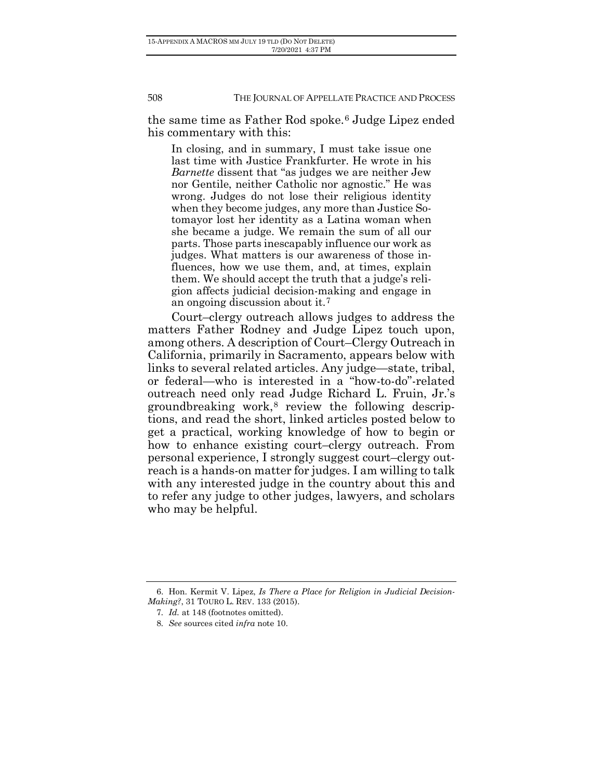the same time as Father Rod spoke.[6](#page-2-3) Judge Lipez ended his commentary with this:

In closing, and in summary, I must take issue one last time with Justice Frankfurter. He wrote in his *Barnette* dissent that "as judges we are neither Jew nor Gentile, neither Catholic nor agnostic." He was wrong. Judges do not lose their religious identity when they become judges, any more than Justice Sotomayor lost her identity as a Latina woman when she became a judge. We remain the sum of all our parts. Those parts inescapably influence our work as judges. What matters is our awareness of those influences, how we use them, and, at times, explain them. We should accept the truth that a judge's religion affects judicial decision-making and engage in an ongoing discussion about it.[7](#page-3-0)

Court–clergy outreach allows judges to address the matters Father Rodney and Judge Lipez touch upon, among others. A description of Court–Clergy Outreach in California, primarily in Sacramento, appears below with links to several related articles. Any judge—state, tribal, or federal—who is interested in a "how-to-do"-related outreach need only read Judge Richard L. Fruin, Jr.'s groundbreaking work, $8$  review the following descriptions, and read the short, linked articles posted below to get a practical, working knowledge of how to begin or how to enhance existing court–clergy outreach. From personal experience, I strongly suggest court–clergy outreach is a hands-on matter for judges. I am willing to talk with any interested judge in the country about this and to refer any judge to other judges, lawyers, and scholars who may be helpful.

<span id="page-3-1"></span><span id="page-3-0"></span><sup>6.</sup> Hon. Kermit V. Lipez, *Is There a Place for Religion in Judicial Decision-Making?*, 31 TOURO L. REV. 133 (2015).

<sup>7</sup>*. Id.* at 148 (footnotes omitted).

<sup>8</sup>*. See* sources cited *infra* note 10.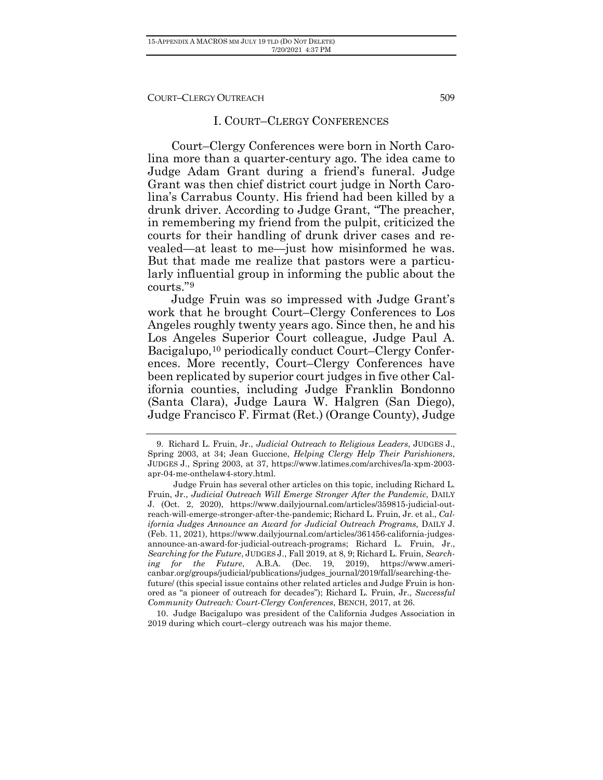#### I. COURT–CLERGY CONFERENCES

Court–Clergy Conferences were born in North Carolina more than a quarter-century ago. The idea came to Judge Adam Grant during a friend's funeral. Judge Grant was then chief district court judge in North Carolina's Carrabus County. His friend had been killed by a drunk driver. According to Judge Grant, "The preacher, in remembering my friend from the pulpit, criticized the courts for their handling of drunk driver cases and revealed—at least to me—just how misinformed he was. But that made me realize that pastors were a particularly influential group in informing the public about the courts."[9](#page-4-0)

Judge Fruin was so impressed with Judge Grant's work that he brought Court–Clergy Conferences to Los Angeles roughly twenty years ago. Since then, he and his Los Angeles Superior Court colleague, Judge Paul A. Bacigalupo,<sup>10</sup> periodically conduct Court–Clergy Conferences. More recently, Court–Clergy Conferences have been replicated by superior court judges in five other California counties, including Judge Franklin Bondonno (Santa Clara), Judge Laura W. Halgren (San Diego), Judge Francisco F. Firmat (Ret.) (Orange County), Judge

<span id="page-4-2"></span><span id="page-4-1"></span>10. Judge Bacigalupo was president of the California Judges Association in 2019 during which court–clergy outreach was his major theme.

<span id="page-4-0"></span><sup>9.</sup> Richard L. Fruin, Jr., *Judicial Outreach to Religious Leaders*, JUDGES J., Spring 2003, at 34; Jean Guccione, *Helping Clergy Help Their Parishioners*, JUDGES J., Spring 2003, at 37, https://www.latimes.com/archives/la-xpm-2003 apr-04-me-onthelaw4-story.html.

Judge Fruin has several other articles on this topic, including Richard L. Fruin, Jr., *Judicial Outreach Will Emerge Stronger After the Pandemic*, DAILY J. (Oct. 2, 2020), https://www.dailyjournal.com/articles/359815-judicial-outreach-will-emerge-stronger-after-the-pandemic; Richard L. Fruin, Jr. et al., *California Judges Announce an Award for Judicial Outreach Programs,* DAILY J. (Feb. 11, 2021), https://www.dailyjournal.com/articles/361456-california-judgesannounce-an-award-for-judicial-outreach-programs; Richard L. Fruin, Jr., *Searching for the Future*, JUDGES J., Fall 2019, at 8, 9; Richard L. Fruin, *Searching for the Future*, A.B.A. (Dec. 19, 2019), https://www.americanbar.org/groups/judicial/publications/judges\_journal/2019/fall/searching-thefuture/ (this special issue contains other related articles and Judge Fruin is honored as "a pioneer of outreach for decades"); Richard L. Fruin, Jr., *Successful Community Outreach: Court-Clergy Conferences*, BENCH, 2017, at 26.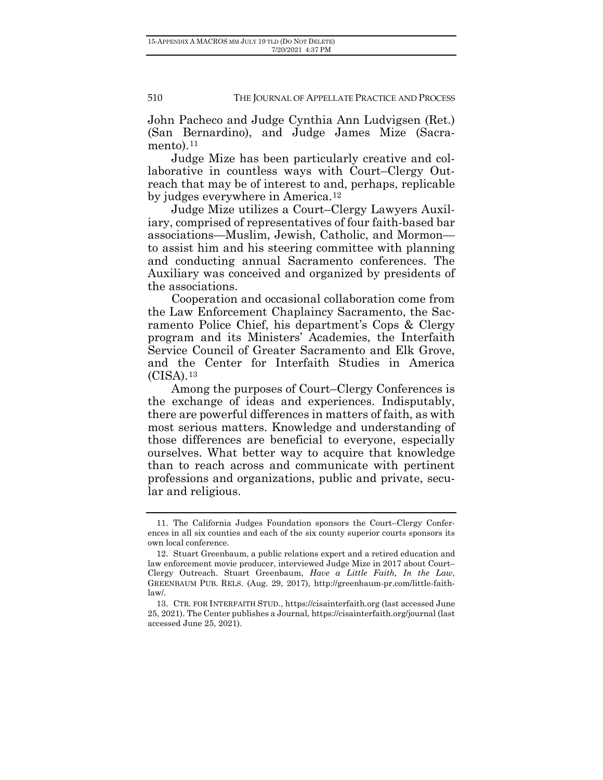John Pacheco and Judge Cynthia Ann Ludvigsen (Ret.) (San Bernardino), and Judge James Mize (Sacra-mento).<sup>[11](#page-4-2)</sup>

Judge Mize has been particularly creative and collaborative in countless ways with Court–Clergy Outreach that may be of interest to and, perhaps, replicable by judges everywhere in America.[12](#page-5-0)

Judge Mize utilizes a Court–Clergy Lawyers Auxiliary, comprised of representatives of four faith-based bar associations—Muslim, Jewish, Catholic, and Mormon to assist him and his steering committee with planning and conducting annual Sacramento conferences. The Auxiliary was conceived and organized by presidents of the associations.

Cooperation and occasional collaboration come from the Law Enforcement Chaplaincy Sacramento, the Sacramento Police Chief, his department's Cops & Clergy program and its Ministers' Academies, the Interfaith Service Council of Greater Sacramento and Elk Grove, and the Center for Interfaith Studies in America (CISA).[13](#page-5-1)

Among the purposes of Court–Clergy Conferences is the exchange of ideas and experiences. Indisputably, there are powerful differences in matters of faith, as with most serious matters. Knowledge and understanding of those differences are beneficial to everyone, especially ourselves. What better way to acquire that knowledge than to reach across and communicate with pertinent professions and organizations, public and private, secular and religious.

<sup>11.</sup> The California Judges Foundation sponsors the Court–Clergy Conferences in all six counties and each of the six county superior courts sponsors its own local conference.

<span id="page-5-0"></span><sup>12.</sup> Stuart Greenbaum, a public relations expert and a retired education and law enforcement movie producer, interviewed Judge Mize in 2017 about Court– Clergy Outreach. Stuart Greenbaum, *Have a Little Faith, In the Law*, GREENBAUM PUB. RELS. (Aug. 29, 2017), [http://greenbaum-pr.com/little-faith](http://greenbaum-pr.com/little-faith-law/)[law/.](http://greenbaum-pr.com/little-faith-law/)

<span id="page-5-1"></span><sup>13.</sup> CTR. FOR INTERFAITH STUD.[, https://cisainterfaith.org](https://cisainterfaith.org/) (last accessed June 25, 2021). The Center publishes a Journal[, https://cisainterfaith.org/journal](https://cisainterfaith.org/journal) (last accessed June 25, 2021).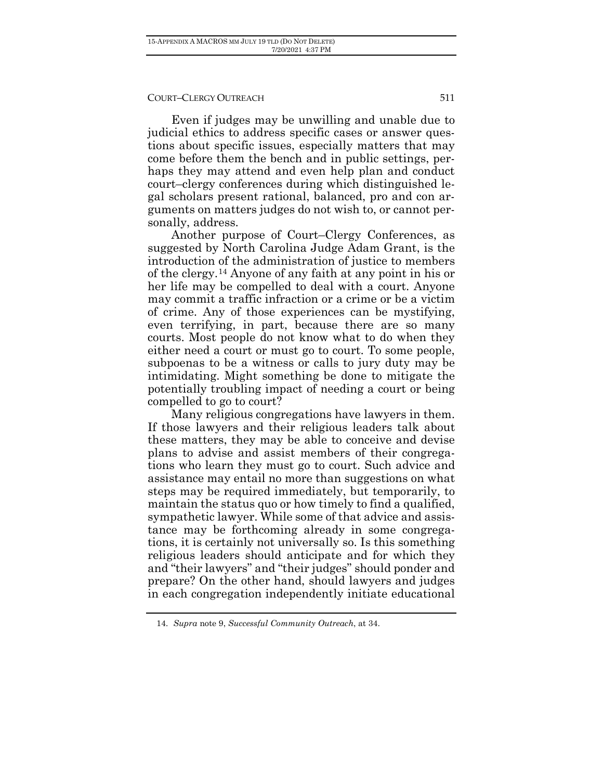Even if judges may be unwilling and unable due to judicial ethics to address specific cases or answer questions about specific issues, especially matters that may come before them the bench and in public settings, perhaps they may attend and even help plan and conduct court–clergy conferences during which distinguished legal scholars present rational, balanced, pro and con arguments on matters judges do not wish to, or cannot personally, address.

Another purpose of Court–Clergy Conferences, as suggested by North Carolina Judge Adam Grant, is the introduction of the administration of justice to members of the clergy.[14](#page-6-0) Anyone of any faith at any point in his or her life may be compelled to deal with a court. Anyone may commit a traffic infraction or a crime or be a victim of crime. Any of those experiences can be mystifying, even terrifying, in part, because there are so many courts. Most people do not know what to do when they either need a court or must go to court. To some people, subpoenas to be a witness or calls to jury duty may be intimidating. Might something be done to mitigate the potentially troubling impact of needing a court or being compelled to go to court?

Many religious congregations have lawyers in them. If those lawyers and their religious leaders talk about these matters, they may be able to conceive and devise plans to advise and assist members of their congregations who learn they must go to court. Such advice and assistance may entail no more than suggestions on what steps may be required immediately, but temporarily, to maintain the status quo or how timely to find a qualified, sympathetic lawyer. While some of that advice and assistance may be forthcoming already in some congregations, it is certainly not universally so. Is this something religious leaders should anticipate and for which they and "their lawyers" and "their judges" should ponder and prepare? On the other hand, should lawyers and judges in each congregation independently initiate educational

<span id="page-6-0"></span><sup>14</sup>*. Supra* note 9, *Successful Community Outreach*, at 34.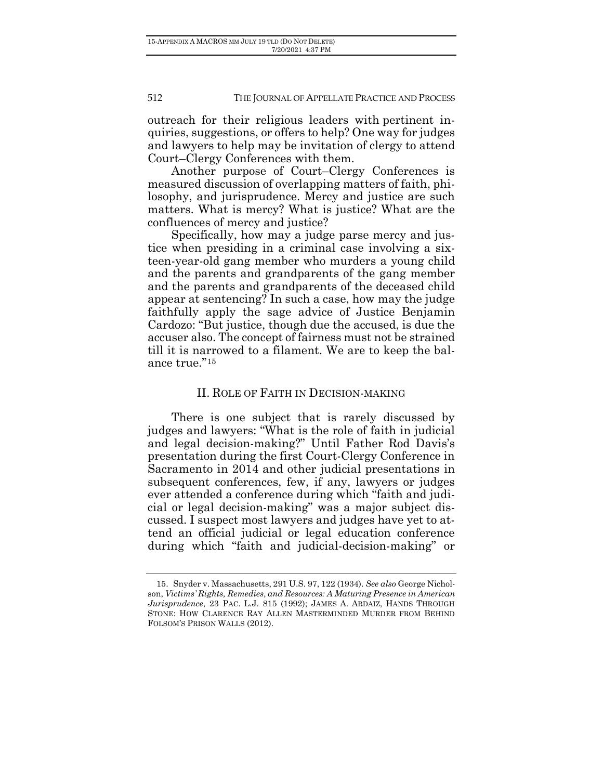outreach for their religious leaders with pertinent inquiries, suggestions, or offers to help? One way for judges and lawyers to help may be invitation of clergy to attend Court–Clergy Conferences with them.

Another purpose of Court–Clergy Conferences is measured discussion of overlapping matters of faith, philosophy, and jurisprudence. Mercy and justice are such matters. What is mercy? What is justice? What are the confluences of mercy and justice?

Specifically, how may a judge parse mercy and justice when presiding in a criminal case involving a sixteen-year-old gang member who murders a young child and the parents and grandparents of the gang member and the parents and grandparents of the deceased child appear at sentencing? In such a case, how may the judge faithfully apply the sage advice of Justice Benjamin Cardozo: "But justice, though due the accused, is due the accuser also. The concept of fairness must not be strained till it is narrowed to a filament. We are to keep the balance true."[15](#page-7-0)

# II. ROLE OF FAITH IN DECISION-MAKING

There is one subject that is rarely discussed by judges and lawyers: "What is the role of faith in judicial and legal decision-making?" Until Father Rod Davis's presentation during the first Court-Clergy Conference in Sacramento in 2014 and other judicial presentations in subsequent conferences, few, if any, lawyers or judges ever attended a conference during which "faith and judicial or legal decision-making" was a major subject discussed. I suspect most lawyers and judges have yet to attend an official judicial or legal education conference during which "faith and judicial-decision-making" or

<span id="page-7-1"></span><span id="page-7-0"></span><sup>15.</sup> Snyder v. Massachusetts, 291 U.S. 97, 122 (1934). *See also* George Nicholson, *Victims' Rights, Remedies, and Resources: A Maturing Presence in American Jurisprudence*, 23 PAC. L.J. 815 (1992); JAMES A. ARDAIZ, HANDS THROUGH STONE: HOW CLARENCE RAY ALLEN MASTERMINDED MURDER FROM BEHIND FOLSOM'S PRISON WALLS (2012).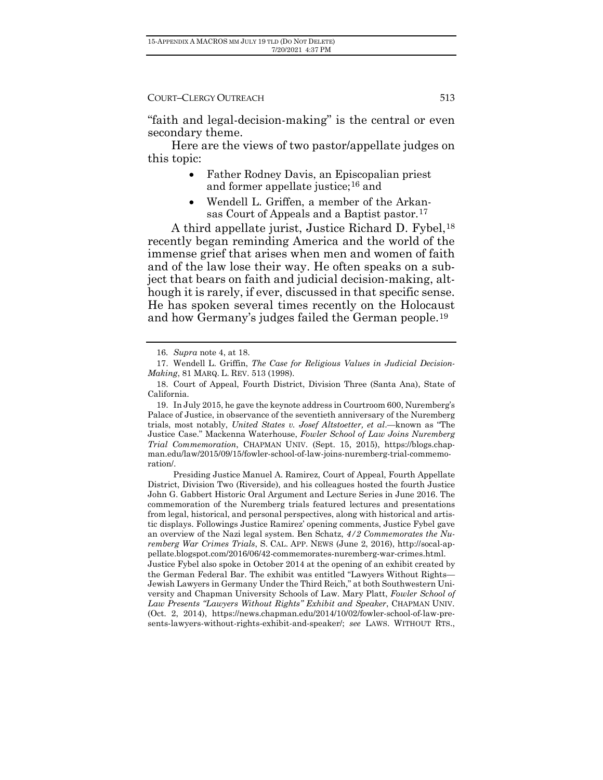"faith and legal-decision-making" is the central or even secondary theme.

Here are the views of two pastor/appellate judges on this topic:

- Father Rodney Davis, an Episcopalian priest and former appellate justice;<sup>[16](#page-7-1)</sup> and
- Wendell L. Griffen, a member of the Arkan-sas Court of Appeals and a Baptist pastor.<sup>[17](#page-8-0)</sup>

A third appellate jurist, Justice Richard D. Fybel,<sup>[18](#page-8-1)</sup> recently began reminding America and the world of the immense grief that arises when men and women of faith and of the law lose their way. He often speaks on a subject that bears on faith and judicial decision-making, although it is rarely, if ever, discussed in that specific sense. He has spoken several times recently on the Holocaust and how Germany's judges failed the German people.[19](#page-8-2)

19. In July 2015, he gave the keynote address in Courtroom 600, Nuremberg's Palace of Justice, in observance of the seventieth anniversary of the Nuremberg trials, most notably, *United States v. Josef Altstoetter, et al*.—known as "The Justice Case." Mackenna Waterhouse, *Fowler School of Law Joins Nuremberg Trial Commemoration*, CHAPMAN UNIV. (Sept. 15, 2015), [https://blogs.chap](https://blogs.chapman.edu/law/2015/09/15/fowler-school-of-law-joins-nuremberg-trial-commemoration/)[man.edu/law/2015/09/15/fowler-school-of-law-joins-nuremberg-trial-commemo](https://blogs.chapman.edu/law/2015/09/15/fowler-school-of-law-joins-nuremberg-trial-commemoration/)[ration/.](https://blogs.chapman.edu/law/2015/09/15/fowler-school-of-law-joins-nuremberg-trial-commemoration/)

<span id="page-8-3"></span>Presiding Justice Manuel A. Ramirez, Court of Appeal, Fourth Appellate District, Division Two (Riverside), and his colleagues hosted the fourth Justice John G. Gabbert Historic Oral Argument and Lecture Series in June 2016. The commemoration of the Nuremberg trials featured lectures and presentations from legal, historical, and personal perspectives, along with historical and artistic displays. Followings Justice Ramirez' opening comments, Justice Fybel gave an overview of the Nazi legal system. Ben Schatz, *4/2 Commemorates the Nuremberg War Crimes Trials*, S. CAL. APP. NEWS (June 2, 2016), [http://socal-ap](http://socal-appellate.blogspot.com/2016/06/42-commemorates-nuremberg-war-crimes.html)[pellate.blogspot.com/2016/06/42-commemorates-nuremberg-war-crimes.html.](http://socal-appellate.blogspot.com/2016/06/42-commemorates-nuremberg-war-crimes.html) Justice Fybel also spoke in October 2014 at the opening of an exhibit created by the German Federal Bar. The exhibit was entitled "Lawyers Without Rights— Jewish Lawyers in Germany Under the Third Reich," at both Southwestern University and Chapman University Schools of Law. Mary Platt, *Fowler School of Law Presents "Lawyers Without Rights" Exhibit and Speaker*, CHAPMAN UNIV. (Oct. 2, 2014), [https://news.chapman.edu/2014/10/02/fowler-school-of-law-pre](https://news.chapman.edu/2014/10/02/fowler-school-of-law-presents-lawyers-without-rights-exhibit-and-speaker/)[sents-lawyers-without-rights-exhibit-and-speaker/;](https://news.chapman.edu/2014/10/02/fowler-school-of-law-presents-lawyers-without-rights-exhibit-and-speaker/) *see* LAWS. WITHOUT RTS.,

<sup>16</sup>*. Supra* note 4, at 18.

<span id="page-8-2"></span><span id="page-8-1"></span><span id="page-8-0"></span><sup>17.</sup> Wendell L. Griffin, *The Case for Religious Values in Judicial Decision-Making*, 81 MARQ. L. REV. 513 (1998).

<sup>18.</sup> Court of Appeal, Fourth District, Division Three (Santa Ana), State of California.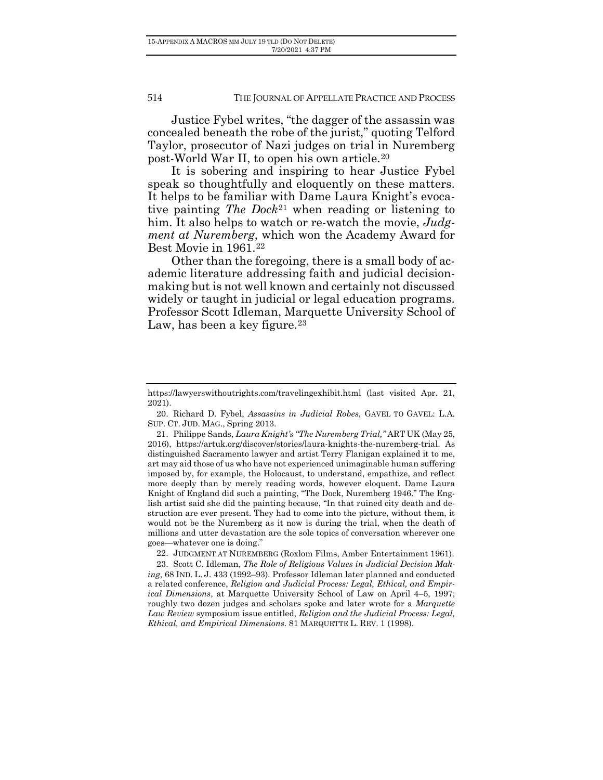Justice Fybel writes, "the dagger of the assassin was concealed beneath the robe of the jurist," quoting Telford Taylor, prosecutor of Nazi judges on trial in Nuremberg post-World War II, to open his own article.[20](#page-8-3)

It is sobering and inspiring to hear Justice Fybel speak so thoughtfully and eloquently on these matters. It helps to be familiar with Dame Laura Knight's evocative painting *The Dock*[21](#page-9-0) when reading or listening to him. It also helps to watch or re-watch the movie, *Judgment at Nuremberg*, which won the Academy Award for Best Movie in 1961.[22](#page-9-1)

Other than the foregoing, there is a small body of academic literature addressing faith and judicial decisionmaking but is not well known and certainly not discussed widely or taught in judicial or legal education programs. Professor Scott Idleman, Marquette University School of Law, has been a key figure.<sup>[23](#page-9-2)</sup>

<span id="page-9-0"></span>20. Richard D. Fybel, *Assassins in Judicial Robes*, GAVEL TO GAVEL: L.A. SUP. CT. JUD. MAG., Spring 2013.

21. Philippe Sands, *Laura Knight's "The Nuremberg Trial,"* ART UK (May 25, 2016), [https://artuk.org/discover/stories/laura-knights-the-nuremberg-trial.](https://artuk.org/discover/stories/laura-knights-the-nuremberg-trial) As distinguished Sacramento lawyer and artist Terry Flanigan explained it to me, art may aid those of us who have not experienced unimaginable human suffering imposed by, for example, the Holocaust, to understand, empathize, and reflect more deeply than by merely reading words, however eloquent. Dame Laura Knight of England did such a painting, "The Dock, Nuremberg 1946." The English artist said she did the painting because, "In that ruined city death and destruction are ever present. They had to come into the picture, without them, it would not be the Nuremberg as it now is during the trial, when the death of millions and utter devastation are the sole topics of conversation wherever one goes—whatever one is doing."

22. JUDGMENT AT NUREMBERG (Roxlom Films, Amber Entertainment 1961).

<span id="page-9-3"></span><span id="page-9-2"></span><span id="page-9-1"></span>23. Scott C. Idleman, *The Role of Religious Values in Judicial Decision Making*, 68 IND. L. J. 433 (1992–93). Professor Idleman later planned and conducted a related conference, *Religion and Judicial Process: Legal, Ethical, and Empirical Dimensions*, at Marquette University School of Law on April 4–5, 1997; roughly two dozen judges and scholars spoke and later wrote for a *Marquette Law Review* symposium issue entitled, *Religion and the Judicial Process: Legal, Ethical, and Empirical Dimensions*. 81 MARQUETTE L. REV. 1 (1998).

<https://lawyerswithoutrights.com/travelingexhibit.html> (last visited Apr. 21, 2021).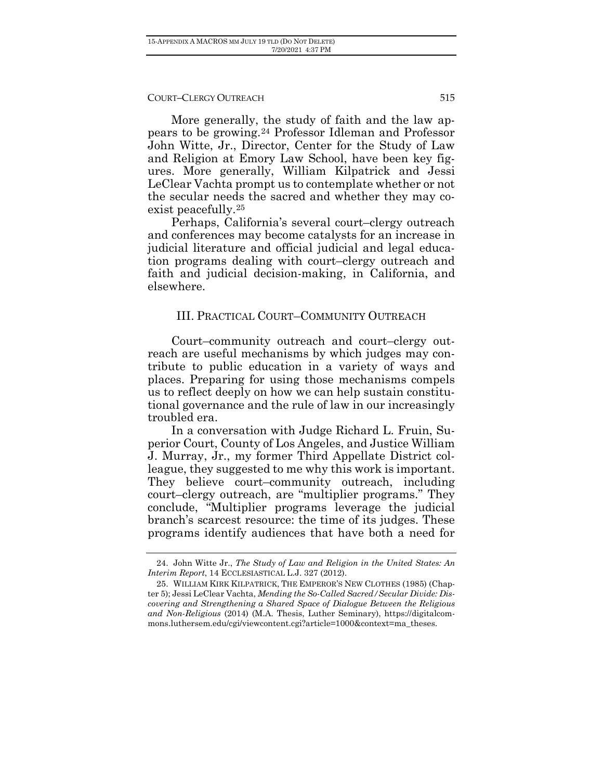More generally, the study of faith and the law appears to be growing.[24](#page-9-3) Professor Idleman and Professor John Witte, Jr., Director, Center for the Study of Law and Religion at Emory Law School, have been key figures. More generally, William Kilpatrick and Jessi LeClear Vachta prompt us to contemplate whether or not the secular needs the sacred and whether they may coexist peacefully.[25](#page-10-0)

Perhaps, California's several court–clergy outreach and conferences may become catalysts for an increase in judicial literature and official judicial and legal education programs dealing with court–clergy outreach and faith and judicial decision-making, in California, and elsewhere.

### III. PRACTICAL COURT–COMMUNITY OUTREACH

Court–community outreach and court–clergy outreach are useful mechanisms by which judges may contribute to public education in a variety of ways and places. Preparing for using those mechanisms compels us to reflect deeply on how we can help sustain constitutional governance and the rule of law in our increasingly troubled era.

In a conversation with Judge Richard L. Fruin, Superior Court, County of Los Angeles, and Justice William J. Murray, Jr., my former Third Appellate District colleague, they suggested to me why this work is important. They believe court–community outreach, including court–clergy outreach, are "multiplier programs." They conclude, "Multiplier programs leverage the judicial branch's scarcest resource: the time of its judges. These programs identify audiences that have both a need for

<sup>24.</sup> John Witte Jr., *The Study of Law and Religion in the United States: An Interim Report*, 14 ECCLESIASTICAL L.J. 327 (2012).

<span id="page-10-0"></span><sup>25.</sup> WILLIAM KIRK KILPATRICK, THE EMPEROR'S NEW CLOTHES (1985) (Chapter 5); Jessi LeClear Vachta, *Mending the So-Called Sacred/Secular Divide: Discovering and Strengthening a Shared Space of Dialogue Between the Religious and Non-Religious* (2014) (M.A. Thesis, Luther Seminary), [https://digitalcom](https://digitalcommons.luthersem.edu/cgi/viewcontent.cgi?article=1000&context=ma_theses)[mons.luthersem.edu/cgi/viewcontent.cgi?article=1000&context=ma\\_theses.](https://digitalcommons.luthersem.edu/cgi/viewcontent.cgi?article=1000&context=ma_theses)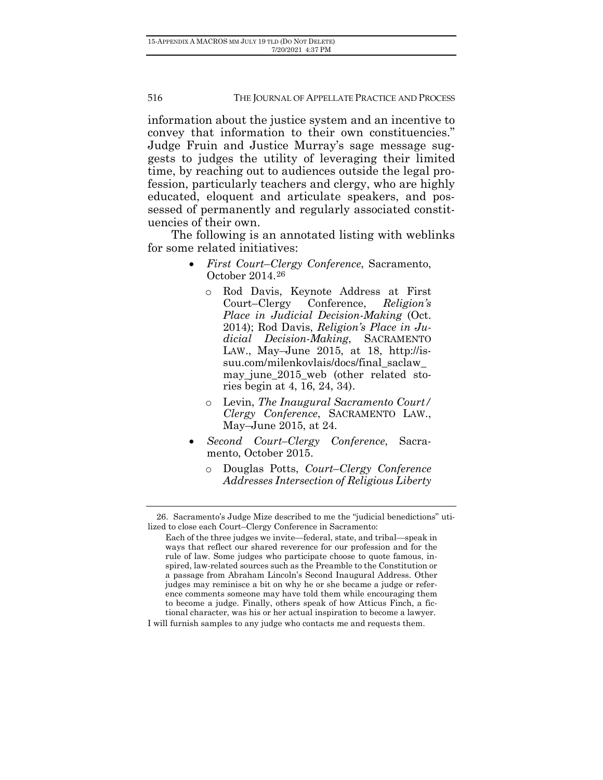information about the justice system and an incentive to convey that information to their own constituencies." Judge Fruin and Justice Murray's sage message suggests to judges the utility of leveraging their limited time, by reaching out to audiences outside the legal profession, particularly teachers and clergy, who are highly educated, eloquent and articulate speakers, and possessed of permanently and regularly associated constituencies of their own.

The following is an annotated listing with weblinks for some related initiatives:

- *First Court*–*Clergy Conference*, Sacramento, October 2014.[26](#page-11-0)
	- o Rod Davis, Keynote Address at First Court–Clergy *Place in Judicial Decision-Making* (Oct. 2014); Rod Davis, *Religion's Place in Judicial Decision-Making*, SACRAMENTO LAW., May–June 2015, at 18, [http://is](http://issuu.com/milenkovlais/docs/final_saclaw_may_june_2015_web)[suu.com/milenkovlais/docs/final\\_saclaw\\_](http://issuu.com/milenkovlais/docs/final_saclaw_may_june_2015_web) may june 2015 web (other related stories begin at 4, 16, 24, 34).
	- o Levin, *The Inaugural Sacramento Court/ Clergy Conference*, SACRAMENTO LAW., May–June 2015, at 24.
- *Second Court–Clergy Conference*, Sacramento, October 2015.
	- o Douglas Potts, *Court*–*Clergy Conference Addresses Intersection of Religious Liberty*

<span id="page-11-0"></span><sup>26.</sup> Sacramento's Judge Mize described to me the "judicial benedictions" utilized to close each Court–Clergy Conference in Sacramento:

Each of the three judges we invite—federal, state, and tribal—speak in ways that reflect our shared reverence for our profession and for the rule of law. Some judges who participate choose to quote famous, inspired, law-related sources such as the Preamble to the Constitution or a passage from Abraham Lincoln's Second Inaugural Address. Other judges may reminisce a bit on why he or she became a judge or reference comments someone may have told them while encouraging them to become a judge. Finally, others speak of how Atticus Finch, a fictional character, was his or her actual inspiration to become a lawyer. I will furnish samples to any judge who contacts me and requests them.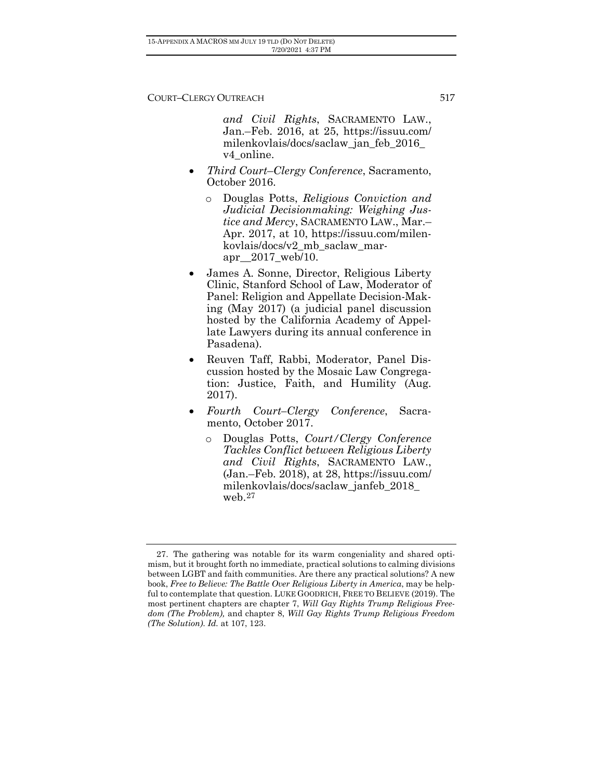*and Civil Rights*, SACRAMENTO LAW., Jan.–Feb. 2016, at 25, [https://issuu.com/](https://issuu.com/milenkovlais/docs/saclaw_jan_feb_2016_v4_online) [milenkovlais/docs/saclaw\\_jan\\_feb\\_2016\\_](https://issuu.com/milenkovlais/docs/saclaw_jan_feb_2016_v4_online) [v4\\_online.](https://issuu.com/milenkovlais/docs/saclaw_jan_feb_2016_v4_online)

- *Third Court*–*Clergy Conference*, Sacramento, October 2016.
	- o Douglas Potts, *Religious Conviction and Judicial Decisionmaking: Weighing Justice and Mercy*, SACRAMENTO LAW., Mar.– Apr. 2017, at 10, [https://issuu.com/milen](https://issuu.com/milenkovlais/docs/v2_mb_saclaw_mar-apr__2017_web/10)[kovlais/docs/v2\\_mb\\_saclaw\\_mar](https://issuu.com/milenkovlais/docs/v2_mb_saclaw_mar-apr__2017_web/10)[apr\\_\\_2017\\_web/10.](https://issuu.com/milenkovlais/docs/v2_mb_saclaw_mar-apr__2017_web/10)
- James A. Sonne, Director, Religious Liberty Clinic, Stanford School of Law, Moderator of Panel: Religion and Appellate Decision-Making (May 2017) (a judicial panel discussion hosted by the California Academy of Appellate Lawyers during its annual conference in Pasadena).
- Reuven Taff, Rabbi, Moderator, Panel Discussion hosted by the Mosaic Law Congregation: Justice, Faith, and Humility (Aug. 2017).
- *Fourth Court–Clergy Conference*, Sacramento, October 2017.
	- o Douglas Potts, *Court/Clergy Conference Tackles Conflict between Religious Liberty and Civil Rights*, SACRAMENTO LAW., (Jan.–Feb. 2018), at 28, [https://issuu.com/](https://issuu.com/milenkovlais/docs/saclaw_janfeb_2018_web) [milenkovlais/docs/saclaw\\_janfeb\\_2018\\_](https://issuu.com/milenkovlais/docs/saclaw_janfeb_2018_web) [web.](https://issuu.com/milenkovlais/docs/saclaw_janfeb_2018_web)[27](#page-12-0)

<span id="page-12-0"></span><sup>27.</sup> The gathering was notable for its warm congeniality and shared optimism, but it brought forth no immediate, practical solutions to calming divisions between LGBT and faith communities. Are there any practical solutions? A new book, *Free to Believe: The Battle Over Religious Liberty in America*, may be helpful to contemplate that question. LUKE GOODRICH, FREE TO BELIEVE (2019). The most pertinent chapters are chapter 7, *Will Gay Rights Trump Religious Freedom (The Problem),* and chapter 8, *Will Gay Rights Trump Religious Freedom (The Solution)*. *Id.* at 107, 123.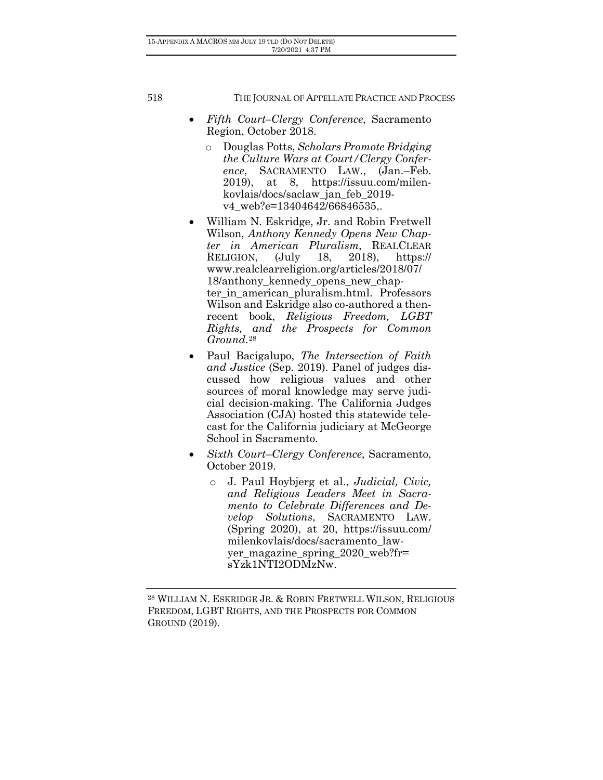- *Fifth Court–Clergy Conference*, Sacramento Region, October 2018.
	- o Douglas Potts, *Scholars Promote Bridging the Culture Wars at Court/Clergy Conference*, SACRAMENTO LAW., (Jan.–Feb. 2019), at 8, [https://issuu.com/milen](https://issuu.com/milenkovlais/docs/saclaw_jan_feb_2019-v4_web?e=13404642/66846535)[kovlais/docs/saclaw\\_jan\\_feb\\_2019](https://issuu.com/milenkovlais/docs/saclaw_jan_feb_2019-v4_web?e=13404642/66846535) [v4\\_web?e=13404642/66846535,](https://issuu.com/milenkovlais/docs/saclaw_jan_feb_2019-v4_web?e=13404642/66846535).
- William N. Eskridge, Jr. and Robin Fretwell Wilson, *Anthony Kennedy Opens New Chapter in American Pluralism*, REALCLEAR<br>RELIGION. (July 18. 2018). https:// RELIGION, (July 18, 2018), [https://](https://www.realclearreligion.org/articles/2018/07/18/anthony_kennedy_opens_new_chapter_in_american_pluralism.html) [www.realclearreligion.org/articles/2018/07/](https://www.realclearreligion.org/articles/2018/07/18/anthony_kennedy_opens_new_chapter_in_american_pluralism.html) 18/anthony kennedy opens new chapter in american pluralism.html. Professors Wilson and Eskridge also co-authored a thenrecent book, *Religious Freedom, LGBT Rights, and the Prospects for Common Ground*.[28](#page-13-0)
- Paul Bacigalupo, *The Intersection of Faith and Justice* (Sep. 2019). Panel of judges discussed how religious values and other sources of moral knowledge may serve judicial decision-making. The California Judges Association (CJA) hosted this statewide telecast for the California judiciary at McGeorge School in Sacramento.
- *Sixth Court*–*Clergy Conference*, Sacramento, October 2019.
	- o J. Paul Hoybjerg et al., *Judicial, Civic, and Religious Leaders Meet in Sacramento to Celebrate Differences and Develop Solutions*, SACRAMENTO LAW. (Spring 2020), at 20, [https://issuu.com/](https://issuu.com/milenkovlais/docs/sacramento_lawyer_magazine_spring_2020_web?fr=sYzk1NTI2ODMzNw) [milenkovlais/docs/sacramento\\_law](https://issuu.com/milenkovlais/docs/sacramento_lawyer_magazine_spring_2020_web?fr=sYzk1NTI2ODMzNw)yer magazine spring  $2020$  web?fr= [sYzk1NTI2ODMzNw.](https://issuu.com/milenkovlais/docs/sacramento_lawyer_magazine_spring_2020_web?fr=sYzk1NTI2ODMzNw)

<span id="page-13-1"></span><span id="page-13-0"></span><sup>28</sup> WILLIAM N. ESKRIDGE JR. & ROBIN FRETWELL WILSON, RELIGIOUS FREEDOM, LGBT RIGHTS, AND THE PROSPECTS FOR COMMON GROUND (2019).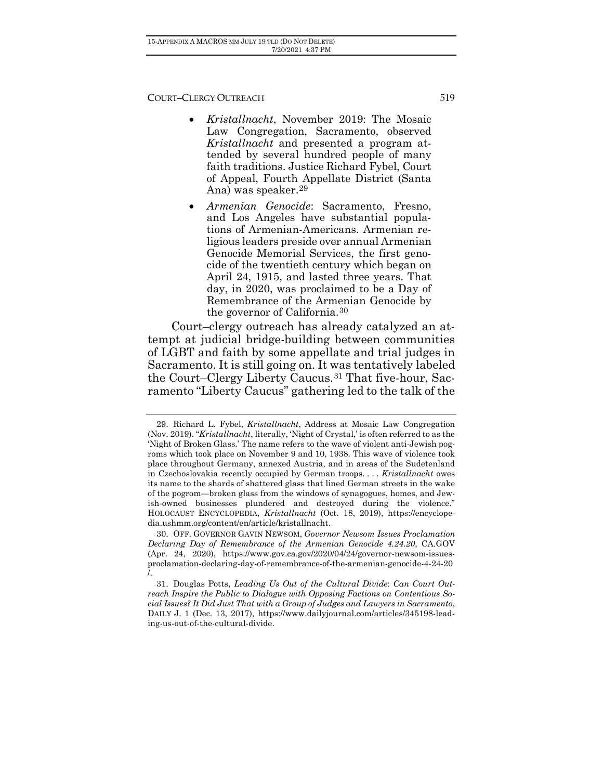- *Kristallnacht*, November 2019: The Mosaic Law Congregation, Sacramento, observed *Kristallnacht* and presented a program attended by several hundred people of many faith traditions. Justice Richard Fybel, Court of Appeal, Fourth Appellate District (Santa Ana) was speaker.[29](#page-13-1)
- *Armenian Genocide*: Sacramento, Fresno, and Los Angeles have substantial populations of Armenian-Americans. Armenian religious leaders preside over annual Armenian Genocide Memorial Services, the first genocide of the twentieth century which began on April 24, 1915, and lasted three years. That day, in 2020, was proclaimed to be a Day of Remembrance of the Armenian Genocide by the governor of California.[30](#page-14-0)

Court–clergy outreach has already catalyzed an attempt at judicial bridge-building between communities of LGBT and faith by some appellate and trial judges in Sacramento. It is still going on. It was tentatively labeled the Court–Clergy Liberty Caucus.[31](#page-14-1) That five-hour, Sacramento "Liberty Caucus" gathering led to the talk of the

<span id="page-14-2"></span>31. Douglas Potts, *Leading Us Out of the Cultural Divide*: *Can Court Outreach Inspire the Public to Dialogue with Opposing Factions on Contentious Social Issues? It Did Just That with a Group of Judges and Lawyers in Sacramento*, DAILY J. 1 (Dec. 13, 2017), [https://www.dailyjournal.com/articles/345198-lead](https://www.dailyjournal.com/articles/345198-leading-us-out-of-the-cultural-divide)[ing-us-out-of-the-cultural-divide.](https://www.dailyjournal.com/articles/345198-leading-us-out-of-the-cultural-divide)

<span id="page-14-0"></span><sup>29.</sup> Richard L. Fybel, *Kristallnacht*, Address at Mosaic Law Congregation (Nov. 2019). "*Kristallnacht*, literally, 'Night of Crystal,' is often referred to as the 'Night of Broken Glass.' The name refers to the wave of violent anti-Jewish pogroms which took place on November 9 and 10, 1938. This wave of violence took place throughout Germany, annexed Austria, and in areas of the Sudetenland in Czechoslovakia recently occupied by German troops. . . . *Kristallnacht* owes its name to the shards of shattered glass that lined German streets in the wake of the pogrom—broken glass from the windows of synagogues, homes, and Jewish-owned businesses plundered and destroyed during the violence." HOLOCAUST ENCYCLOPEDIA, *Kristallnacht* (Oct. 18, 2019), https://encyclopedia.ushmm.org/content/en/article/kristallnacht.

<span id="page-14-1"></span><sup>30.</sup> OFF. GOVERNOR GAVIN NEWSOM, *Governor Newsom Issues Proclamation Declaring Day of Remembrance of the Armenian Genocide 4.24.20*, CA.GOV (Apr. 24, 2020), https://www.gov.ca.gov/2020/04/24/governor-newsom-issuesproclamation-declaring-day-of-remembrance-of-the-armenian-genocide-4-24-20 /.